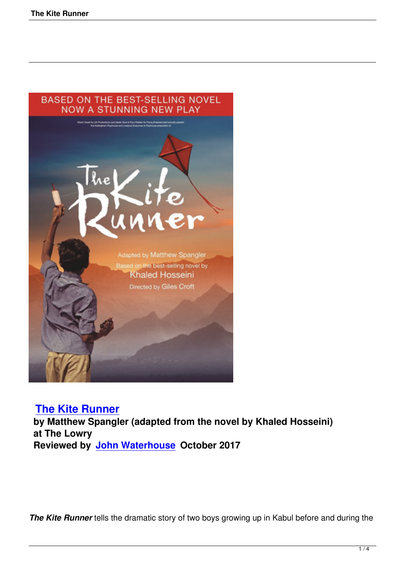

# **The Kite Runner**

 **by Matthew Spangler (adapted from the novel by Khaled Hosseini) at The Lowry [Reviewed by John](the-kite-runner.html) Waterhouse October 2017**

*The Kite Runner* tells the dramatic story of two boys growing up in Kabul before and during the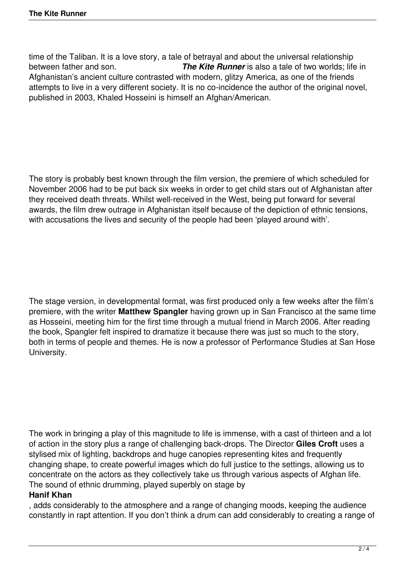time of the Taliban. It is a love story, a tale of betrayal and about the universal relationship between father and son. *The Kite Runner* is also a tale of two worlds; life in Afghanistan's ancient culture contrasted with modern, glitzy America, as one of the friends attempts to live in a very different society. It is no co-incidence the author of the original novel, published in 2003, Khaled Hosseini is himself an Afghan/American.

The story is probably best known through the film version, the premiere of which scheduled for November 2006 had to be put back six weeks in order to get child stars out of Afghanistan after they received death threats. Whilst well-received in the West, being put forward for several awards, the film drew outrage in Afghanistan itself because of the depiction of ethnic tensions, with accusations the lives and security of the people had been 'played around with'.

The stage version, in developmental format, was first produced only a few weeks after the film's premiere, with the writer **Matthew Spangler** having grown up in San Francisco at the same time as Hosseini, meeting him for the first time through a mutual friend in March 2006. After reading the book, Spangler felt inspired to dramatize it because there was just so much to the story, both in terms of people and themes. He is now a professor of Performance Studies at San Hose University.

The work in bringing a play of this magnitude to life is immense, with a cast of thirteen and a lot of action in the story plus a range of challenging back-drops. The Director **Giles Croft** uses a stylised mix of lighting, backdrops and huge canopies representing kites and frequently changing shape, to create powerful images which do full justice to the settings, allowing us to concentrate on the actors as they collectively take us through various aspects of Afghan life. The sound of ethnic drumming, played superbly on stage by

## **Hanif Khan**

, adds considerably to the atmosphere and a range of changing moods, keeping the audience constantly in rapt attention. If you don't think a drum can add considerably to creating a range of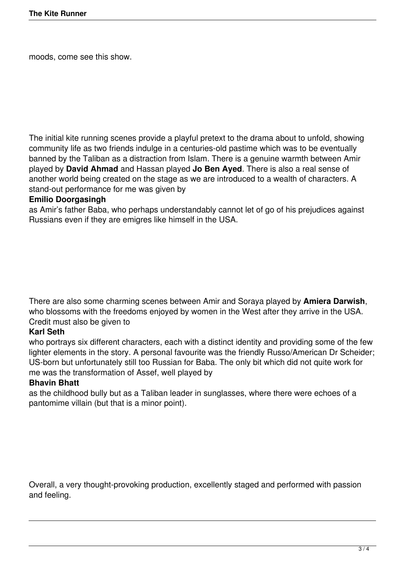moods, come see this show.

The initial kite running scenes provide a playful pretext to the drama about to unfold, showing community life as two friends indulge in a centuries-old pastime which was to be eventually banned by the Taliban as a distraction from Islam. There is a genuine warmth between Amir played by **David Ahmad** and Hassan played **Jo Ben Ayed**. There is also a real sense of another world being created on the stage as we are introduced to a wealth of characters. A stand-out performance for me was given by

### **Emilio Doorgasingh**

as Amir's father Baba, who perhaps understandably cannot let of go of his prejudices against Russians even if they are emigres like himself in the USA.

There are also some charming scenes between Amir and Soraya played by **Amiera Darwish**, who blossoms with the freedoms enjoyed by women in the West after they arrive in the USA. Credit must also be given to

## **Karl Seth**

who portrays six different characters, each with a distinct identity and providing some of the few lighter elements in the story. A personal favourite was the friendly Russo/American Dr Scheider; US-born but unfortunately still too Russian for Baba. The only bit which did not quite work for me was the transformation of Assef, well played by

#### **Bhavin Bhatt**

as the childhood bully but as a Taliban leader in sunglasses, where there were echoes of a pantomime villain (but that is a minor point).

Overall, a very thought-provoking production, excellently staged and performed with passion and feeling.